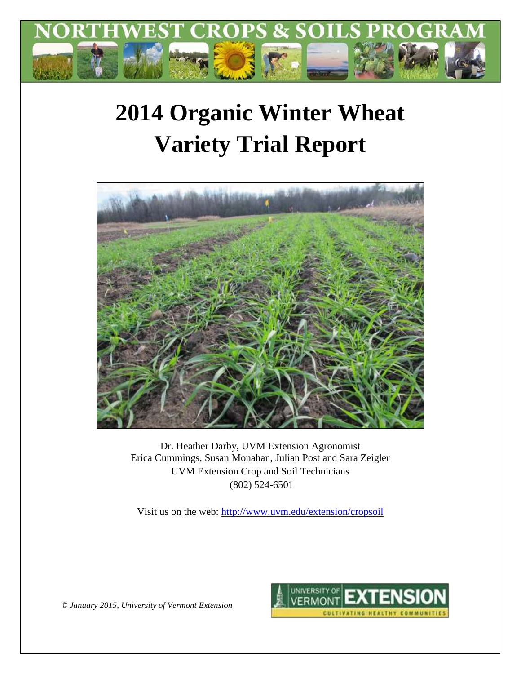

# **2014 Organic Winter Wheat Variety Trial Report**



Dr. Heather Darby, UVM Extension Agronomist Erica Cummings, Susan Monahan, Julian Post and Sara Zeigler UVM Extension Crop and Soil Technicians (802) 524-6501

Visit us on the web:<http://www.uvm.edu/extension/cropsoil>

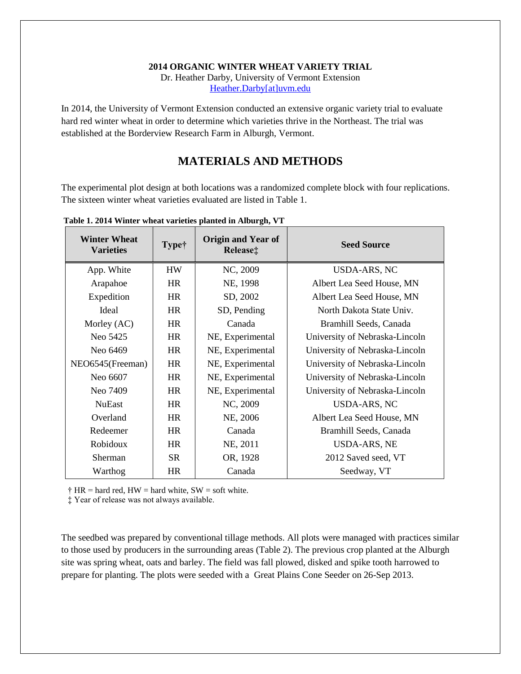#### **2014 ORGANIC WINTER WHEAT VARIETY TRIAL**

Dr. Heather Darby, University of Vermont Extension [Heather.Darby\[at\]uvm.edu](mailto:Heather.Darby@uvm.edu?subject=2011%20Soybean%20Variety%20Trial)

In 2014, the University of Vermont Extension conducted an extensive organic variety trial to evaluate hard red winter wheat in order to determine which varieties thrive in the Northeast. The trial was established at the Borderview Research Farm in Alburgh, Vermont.

## **MATERIALS AND METHODS**

The experimental plot design at both locations was a randomized complete block with four replications. The sixteen winter wheat varieties evaluated are listed in Table 1.

| <b>Winter Wheat</b><br><b>Varieties</b> | <b>Type†</b> | <b>Origin and Year of</b><br>Release: | <b>Seed Source</b>             |
|-----------------------------------------|--------------|---------------------------------------|--------------------------------|
| App. White                              | <b>HW</b>    | NC, 2009                              | USDA-ARS, NC                   |
| Arapahoe                                | <b>HR</b>    | NE, 1998                              | Albert Lea Seed House, MN      |
| Expedition                              | <b>HR</b>    | SD, 2002                              | Albert Lea Seed House, MN      |
| Ideal                                   | <b>HR</b>    | SD, Pending                           | North Dakota State Univ.       |
| Morley (AC)                             | <b>HR</b>    | Canada                                | Bramhill Seeds, Canada         |
| Neo 5425                                | <b>HR</b>    | NE, Experimental                      | University of Nebraska-Lincoln |
| Neo 6469                                | <b>HR</b>    | NE, Experimental                      | University of Nebraska-Lincoln |
| NEO6545(Freeman)                        | <b>HR</b>    | NE, Experimental                      | University of Nebraska-Lincoln |
| Neo 6607                                | <b>HR</b>    | NE, Experimental                      | University of Nebraska-Lincoln |
| Neo 7409                                | <b>HR</b>    | NE, Experimental                      | University of Nebraska-Lincoln |
| <b>NuEast</b>                           | <b>HR</b>    | NC, 2009                              | USDA-ARS, NC                   |
| Overland                                | <b>HR</b>    | NE, 2006                              | Albert Lea Seed House, MN      |
| Redeemer                                | <b>HR</b>    | Canada                                | Bramhill Seeds, Canada         |
| Robidoux                                | <b>HR</b>    | NE, 2011                              | <b>USDA-ARS, NE</b>            |
| Sherman                                 | <b>SR</b>    | OR, 1928                              | 2012 Saved seed, VT            |
| Warthog                                 | <b>HR</b>    | Canada                                | Seedway, VT                    |

**Table 1. 2014 Winter wheat varieties planted in Alburgh, VT** 

 $\dagger$  HR = hard red, HW = hard white, SW = soft white.

‡ Year of release was not always available.

The seedbed was prepared by conventional tillage methods. All plots were managed with practices similar to those used by producers in the surrounding areas (Table 2). The previous crop planted at the Alburgh site was spring wheat, oats and barley. The field was fall plowed, disked and spike tooth harrowed to prepare for planting. The plots were seeded with a Great Plains Cone Seeder on 26-Sep 2013.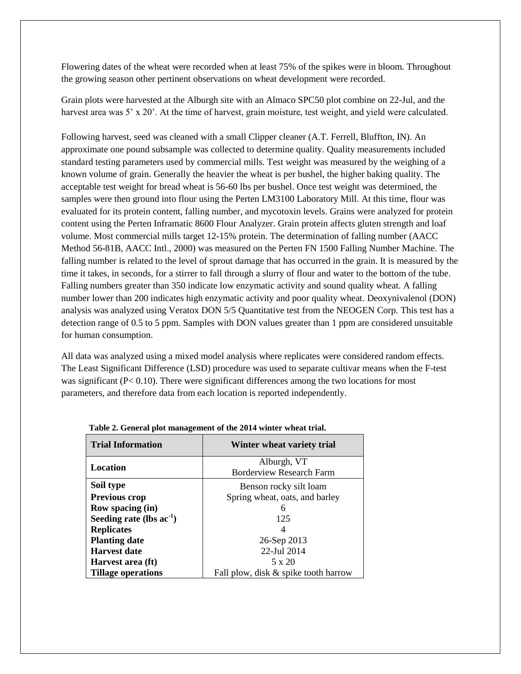Flowering dates of the wheat were recorded when at least 75% of the spikes were in bloom. Throughout the growing season other pertinent observations on wheat development were recorded.

Grain plots were harvested at the Alburgh site with an Almaco SPC50 plot combine on 22-Jul, and the harvest area was 5' x 20'. At the time of harvest, grain moisture, test weight, and yield were calculated.

Following harvest, seed was cleaned with a small Clipper cleaner (A.T. Ferrell, Bluffton, IN). An approximate one pound subsample was collected to determine quality. Quality measurements included standard testing parameters used by commercial mills. Test weight was measured by the weighing of a known volume of grain. Generally the heavier the wheat is per bushel, the higher baking quality. The acceptable test weight for bread wheat is 56-60 lbs per bushel. Once test weight was determined, the samples were then ground into flour using the Perten LM3100 Laboratory Mill. At this time, flour was evaluated for its protein content, falling number, and mycotoxin levels. Grains were analyzed for protein content using the Perten Inframatic 8600 Flour Analyzer. Grain protein affects gluten strength and loaf volume. Most commercial mills target 12-15% protein. The determination of falling number (AACC Method 56-81B, AACC Intl., 2000) was measured on the Perten FN 1500 Falling Number Machine. The falling number is related to the level of sprout damage that has occurred in the grain. It is measured by the time it takes, in seconds, for a stirrer to fall through a slurry of flour and water to the bottom of the tube. Falling numbers greater than 350 indicate low enzymatic activity and sound quality wheat. A falling number lower than 200 indicates high enzymatic activity and poor quality wheat. Deoxynivalenol (DON) analysis was analyzed using Veratox DON 5/5 Quantitative test from the NEOGEN Corp. This test has a detection range of 0.5 to 5 ppm. Samples with DON values greater than 1 ppm are considered unsuitable for human consumption.

All data was analyzed using a mixed model analysis where replicates were considered random effects. The Least Significant Difference (LSD) procedure was used to separate cultivar means when the F-test was significant  $(P< 0.10)$ . There were significant differences among the two locations for most parameters, and therefore data from each location is reported independently.

| o                             |                                      |  |  |
|-------------------------------|--------------------------------------|--|--|
| <b>Trial Information</b>      | Winter wheat variety trial           |  |  |
|                               | Alburgh, VT                          |  |  |
| Location                      | <b>Borderview Research Farm</b>      |  |  |
| Soil type                     | Benson rocky silt loam               |  |  |
| <b>Previous crop</b>          | Spring wheat, oats, and barley       |  |  |
| <b>Row spacing (in)</b>       |                                      |  |  |
| Seeding rate (lbs $ac^{-1}$ ) | 125                                  |  |  |
| <b>Replicates</b>             |                                      |  |  |
| <b>Planting date</b>          | 26-Sep 2013                          |  |  |
| <b>Harvest date</b>           | 22-Jul 2014                          |  |  |
| Harvest area (ft)             | 5 x 20                               |  |  |
| <b>Tillage operations</b>     | Fall plow, disk & spike tooth harrow |  |  |

|  | Table 2. General plot management of the 2014 winter wheat trial. |
|--|------------------------------------------------------------------|
|--|------------------------------------------------------------------|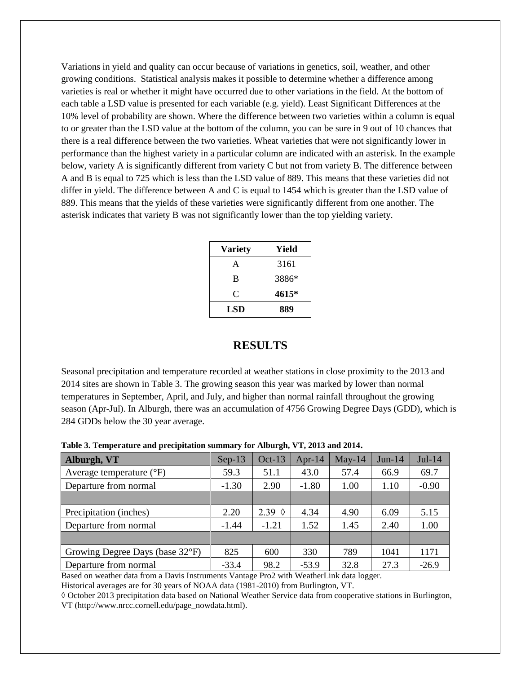Variations in yield and quality can occur because of variations in genetics, soil, weather, and other growing conditions. Statistical analysis makes it possible to determine whether a difference among varieties is real or whether it might have occurred due to other variations in the field. At the bottom of each table a LSD value is presented for each variable (e.g. yield). Least Significant Differences at the 10% level of probability are shown. Where the difference between two varieties within a column is equal to or greater than the LSD value at the bottom of the column, you can be sure in 9 out of 10 chances that there is a real difference between the two varieties. Wheat varieties that were not significantly lower in performance than the highest variety in a particular column are indicated with an asterisk. In the example below, variety A is significantly different from variety C but not from variety B. The difference between A and B is equal to 725 which is less than the LSD value of 889. This means that these varieties did not differ in yield. The difference between A and C is equal to 1454 which is greater than the LSD value of 889. This means that the yields of these varieties were significantly different from one another. The asterisk indicates that variety B was not significantly lower than the top yielding variety.

| <b>Variety</b> | Yield |
|----------------|-------|
| A              | 3161  |
| B              | 3886* |
| C              | 4615* |
| LSD            | 889   |

### **RESULTS**

Seasonal precipitation and temperature recorded at weather stations in close proximity to the 2013 and 2014 sites are shown in Table 3. The growing season this year was marked by lower than normal temperatures in September, April, and July, and higher than normal rainfall throughout the growing season (Apr-Jul). In Alburgh, there was an accumulation of 4756 Growing Degree Days (GDD), which is 284 GDDs below the 30 year average.

| Alburgh, VT                       | $Sep-13$ | $Oct-13$        | Apr-14  | $May-14$ | $Jun-14$ | $Jul-14$ |
|-----------------------------------|----------|-----------------|---------|----------|----------|----------|
| Average temperature $(^{\circ}F)$ | 59.3     | 51.1            | 43.0    | 57.4     | 66.9     | 69.7     |
| Departure from normal             | $-1.30$  | 2.90            | $-1.80$ | 1.00     | 1.10     | $-0.90$  |
|                                   |          |                 |         |          |          |          |
| Precipitation (inches)            | 2.20     | 2.39 $\Diamond$ | 4.34    | 4.90     | 6.09     | 5.15     |
| Departure from normal             | $-1.44$  | $-1.21$         | 1.52    | 1.45     | 2.40     | 1.00     |
|                                   |          |                 |         |          |          |          |
| Growing Degree Days (base 32°F)   | 825      | 600             | 330     | 789      | 1041     | 1171     |
| Departure from normal             | $-33.4$  | 98.2            | $-53.9$ | 32.8     | 27.3     | $-26.9$  |

**Table 3. Temperature and precipitation summary for Alburgh, VT, 2013 and 2014.**

Based on weather data from a Davis Instruments Vantage Pro2 with WeatherLink data logger.

Historical averages are for 30 years of NOAA data (1981-2010) from Burlington, VT.

◊ October 2013 precipitation data based on National Weather Service data from cooperative stations in Burlington, VT (http://www.nrcc.cornell.edu/page\_nowdata.html).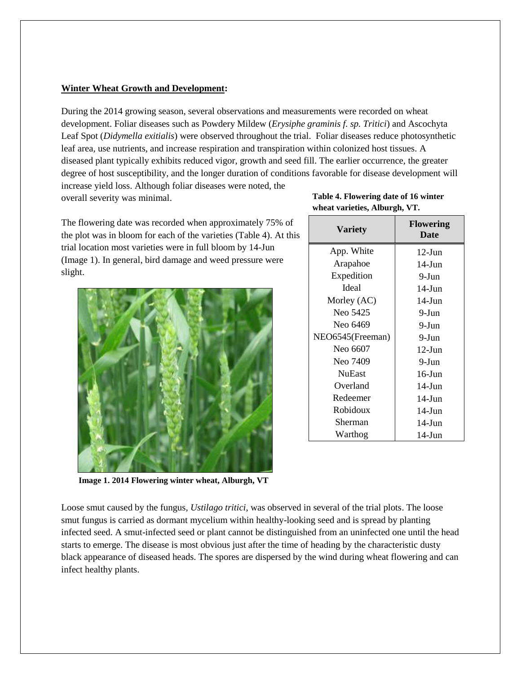#### **Winter Wheat Growth and Development:**

During the 2014 growing season, several observations and measurements were recorded on wheat development. Foliar diseases such as Powdery Mildew (*Erysiphe graminis f. sp. Tritici*) and Ascochyta Leaf Spot (*Didymella exitialis*) were observed throughout the trial. Foliar diseases reduce photosynthetic leaf area, use nutrients, and increase respiration and transpiration within colonized host tissues. A diseased plant typically exhibits reduced vigor, growth and seed fill. The earlier occurrence, the greater degree of host susceptibility, and the longer duration of conditions favorable for disease development will increase yield loss. Although foliar diseases were noted, the

overall severity was minimal.

The flowering date was recorded when approximately 75% of the plot was in bloom for each of the varieties (Table 4). At this trial location most varieties were in full bloom by 14-Jun (Image 1). In general, bird damage and weed pressure were slight.



**Table 4. Flowering date of 16 winter wheat varieties, Alburgh, VT.** 

| <b>Variety</b>   | <b>Flowering</b><br>Date |
|------------------|--------------------------|
| App. White       | $12$ -Jun                |
| Arapahoe         | $14$ -Jun                |
| Expedition       | 9-Jun                    |
| <b>I</b> deal    | $14$ -Jun                |
| Morley (AC)      | $14$ -Jun                |
| Neo 5425         | 9-Jun                    |
| Neo 6469         | 9-Jun                    |
| NEO6545(Freeman) | 9-Jun                    |
| Neo 6607         | $12-J$ un                |
| Neo 7409         | 9-Jun                    |
| <b>NuEast</b>    | $16$ -Jun                |
| Overland         | $14$ -Jun                |
| Redeemer         | $14$ -Jun                |
| Robidoux         | $14$ -Jun                |
| Sherman          | $14$ -Jun                |
| Warthog          | 14-Jun                   |

**Image 1. 2014 Flowering winter wheat, Alburgh, VT**

Loose smut caused by the fungus*, Ustilago tritici*, was observed in several of the trial plots. The loose smut fungus is carried as dormant mycelium within healthy-looking seed and is spread by planting infected seed. A smut-infected seed or plant cannot be distinguished from an uninfected one until the head starts to emerge. The disease is most obvious just after the time of heading by the characteristic dusty black appearance of diseased heads. The spores are dispersed by the wind during wheat flowering and can infect healthy plants.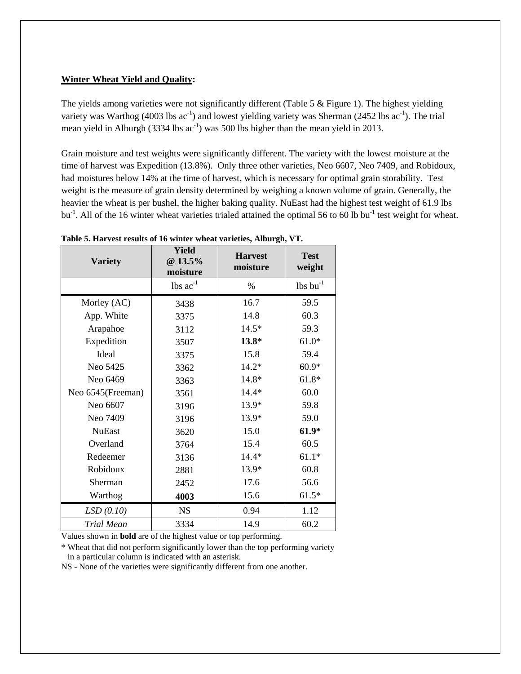#### **Winter Wheat Yield and Quality:**

The yields among varieties were not significantly different (Table  $5 \&$  Figure 1). The highest yielding variety was Warthog (4003 lbs  $ac^{-1}$ ) and lowest yielding variety was Sherman (2452 lbs  $ac^{-1}$ ). The trial mean yield in Alburgh  $(3334 \text{ lbs} \text{ ac}^{-1})$  was 500 lbs higher than the mean yield in 2013.

Grain moisture and test weights were significantly different. The variety with the lowest moisture at the time of harvest was Expedition (13.8%). Only three other varieties, Neo 6607, Neo 7409, and Robidoux, had moistures below 14% at the time of harvest, which is necessary for optimal grain storability. Test weight is the measure of grain density determined by weighing a known volume of grain. Generally, the heavier the wheat is per bushel, the higher baking quality. NuEast had the highest test weight of 61.9 lbs bu<sup>-1</sup>. All of the 16 winter wheat varieties trialed attained the optimal 56 to 60 lb bu<sup>-1</sup> test weight for wheat.

| <b>Yield</b><br>@ 13.5%<br><b>Variety</b><br>moisture |               | <b>Harvest</b><br>moisture | <b>Test</b><br>weight         |
|-------------------------------------------------------|---------------|----------------------------|-------------------------------|
|                                                       | lbs $ac^{-1}$ | %                          | $\text{lbs}$ bu <sup>-1</sup> |
| Morley (AC)                                           | 3438          | 16.7                       | 59.5                          |
| App. White                                            | 3375          | 14.8                       | 60.3                          |
| Arapahoe                                              | 3112          | $14.5*$                    | 59.3                          |
| Expedition                                            | 3507          | 13.8*                      | $61.0*$                       |
| Ideal                                                 | 3375          | 15.8                       | 59.4                          |
| Neo 5425                                              | 3362          | $14.2*$                    | $60.9*$                       |
| Neo 6469                                              | 3363          | 14.8*                      | 61.8*                         |
| Neo 6545(Freeman)                                     | 3561          | $14.4*$                    | 60.0                          |
| Neo 6607                                              | 3196          | 13.9*                      | 59.8                          |
| Neo 7409                                              | 3196          | 13.9*                      | 59.0                          |
| <b>NuEast</b>                                         | 3620          | 15.0                       | $61.9*$                       |
| Overland                                              | 3764          | 15.4                       | 60.5                          |
| Redeemer                                              | 3136          | $14.4*$                    | $61.1*$                       |
| Robidoux                                              | 2881          | 13.9*                      | 60.8                          |
| Sherman                                               | 2452          | 17.6                       | 56.6                          |
| Warthog                                               | 4003          | 15.6                       | $61.5*$                       |
| LSD(0.10)                                             | <b>NS</b>     | 0.94                       | 1.12                          |
| Trial Mean                                            | 3334          | 14.9                       | 60.2                          |

**Table 5. Harvest results of 16 winter wheat varieties, Alburgh, VT.** 

Values shown in **bold** are of the highest value or top performing.

\* Wheat that did not perform significantly lower than the top performing variety in a particular column is indicated with an asterisk.

NS - None of the varieties were significantly different from one another.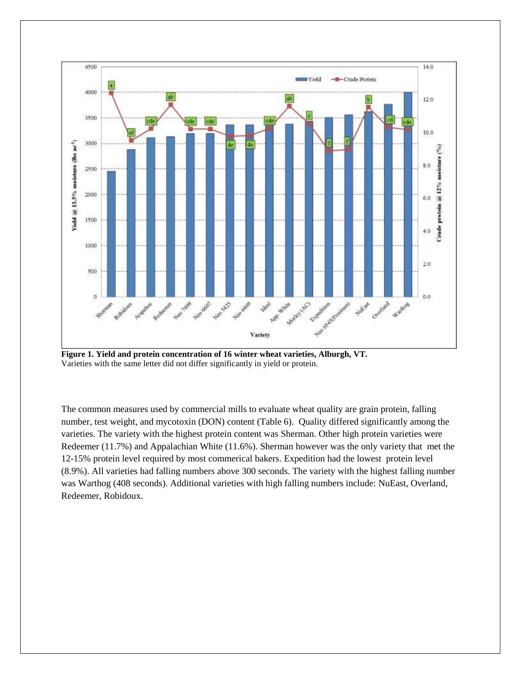

**Figure 1. Yield and protein concentration of 16 winter wheat varieties, Alburgh, VT.** Varieties with the same letter did not differ significantly in yield or protein.

The common measures used by commercial mills to evaluate wheat quality are grain protein, falling number, test weight, and mycotoxin (DON) content (Table 6). Quality differed significantly among the varieties. The variety with the highest protein content was Sherman. Other high protein varieties were Redeemer (11.7%) and Appalachian White (11.6%). Sherman however was the only variety that met the 12-15% protein level required by most commerical bakers. Expedition had the lowest protein level (8.9%). All varieties had falling numbers above 300 seconds. The variety with the highest falling number was Warthog (408 seconds). Additional varieties with high falling numbers include: NuEast, Overland, Redeemer, Robidoux.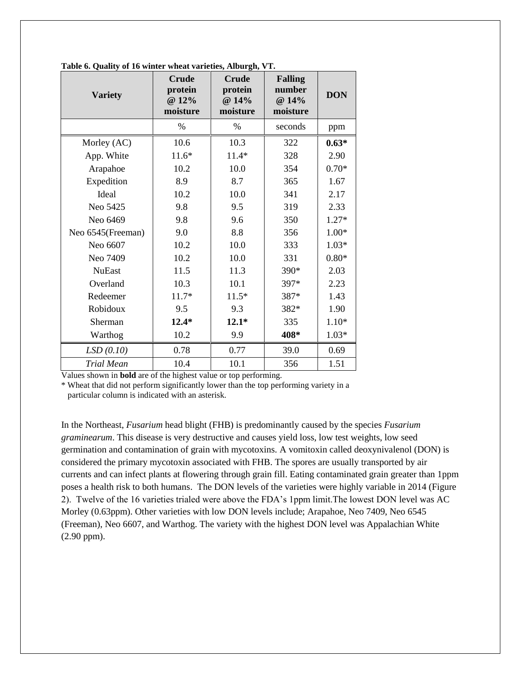| <b>Variety</b>    | <b>Crude</b><br>protein<br>@ 12%<br>moisture | <b>Crude</b><br>protein<br>@ 14%<br>moisture | <b>Falling</b><br>number<br>@ 14%<br>moisture | <b>DON</b> |
|-------------------|----------------------------------------------|----------------------------------------------|-----------------------------------------------|------------|
|                   | $\%$                                         | $\%$                                         | seconds                                       | ppm        |
| Morley (AC)       | 10.6                                         | 10.3                                         | 322                                           | $0.63*$    |
| App. White        | $11.6*$                                      | $11.4*$                                      | 328                                           | 2.90       |
| Arapahoe          | 10.2                                         | 10.0                                         | 354                                           | $0.70*$    |
| Expedition        | 8.9                                          | 8.7                                          | 365                                           | 1.67       |
| Ideal             | 10.2                                         | 10.0                                         | 341                                           | 2.17       |
| Neo 5425          | 9.8                                          | 9.5                                          | 319                                           | 2.33       |
| Neo 6469          | 9.8                                          | 9.6                                          | 350                                           | $1.27*$    |
| Neo 6545(Freeman) | 9.0                                          | 8.8                                          | 356                                           | $1.00*$    |
| Neo 6607          | 10.2                                         | 10.0                                         | 333                                           | $1.03*$    |
| Neo 7409          | 10.2                                         | 10.0                                         | 331                                           | $0.80*$    |
| <b>NuEast</b>     | 11.5                                         | 11.3                                         | 390*                                          | 2.03       |
| Overland          | 10.3                                         | 10.1                                         | 397*                                          | 2.23       |
| Redeemer          | $11.7*$                                      | $11.5*$                                      | 387*                                          | 1.43       |
| Robidoux          | 9.5                                          | 9.3                                          | 382*                                          | 1.90       |
| Sherman           | $12.4*$                                      | $12.1*$                                      | 335                                           | $1.10*$    |
| Warthog           | 10.2                                         | 9.9                                          | 408*                                          | $1.03*$    |
| LSD(0.10)         | 0.78                                         | 0.77                                         | 39.0                                          | 0.69       |
| Trial Mean        | 10.4                                         | 10.1                                         | 356                                           | 1.51       |

**Table 6. Quality of 16 winter wheat varieties, Alburgh, VT.**

Values shown in **bold** are of the highest value or top performing.

\* Wheat that did not perform significantly lower than the top performing variety in a particular column is indicated with an asterisk.

In the Northeast, *Fusarium* head blight (FHB) is predominantly caused by the species *Fusarium graminearum*. This disease is very destructive and causes yield loss, low test weights, low seed germination and contamination of grain with mycotoxins. A vomitoxin called deoxynivalenol (DON) is considered the primary mycotoxin associated with FHB. The spores are usually transported by air currents and can infect plants at flowering through grain fill. Eating contaminated grain greater than 1ppm poses a health risk to both humans. The DON levels of the varieties were highly variable in 2014 (Figure 2). Twelve of the 16 varieties trialed were above the FDA's 1ppm limit.The lowest DON level was AC Morley (0.63ppm). Other varieties with low DON levels include; Arapahoe, Neo 7409, Neo 6545 (Freeman), Neo 6607, and Warthog. The variety with the highest DON level was Appalachian White (2.90 ppm).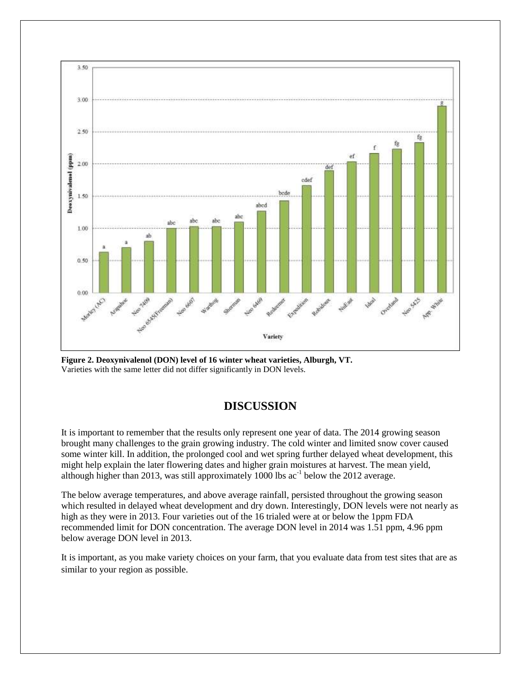

**Figure 2. Deoxynivalenol (DON) level of 16 winter wheat varieties, Alburgh, VT.** Varieties with the same letter did not differ significantly in DON levels.

# **DISCUSSION**

It is important to remember that the results only represent one year of data. The 2014 growing season brought many challenges to the grain growing industry. The cold winter and limited snow cover caused some winter kill. In addition, the prolonged cool and wet spring further delayed wheat development, this might help explain the later flowering dates and higher grain moistures at harvest. The mean yield, although higher than 2013, was still approximately 1000 lbs  $ac^{-1}$  below the 2012 average.

The below average temperatures, and above average rainfall, persisted throughout the growing season which resulted in delayed wheat development and dry down. Interestingly, DON levels were not nearly as high as they were in 2013. Four varieties out of the 16 trialed were at or below the 1ppm FDA recommended limit for DON concentration. The average DON level in 2014 was 1.51 ppm, 4.96 ppm below average DON level in 2013.

It is important, as you make variety choices on your farm, that you evaluate data from test sites that are as similar to your region as possible.